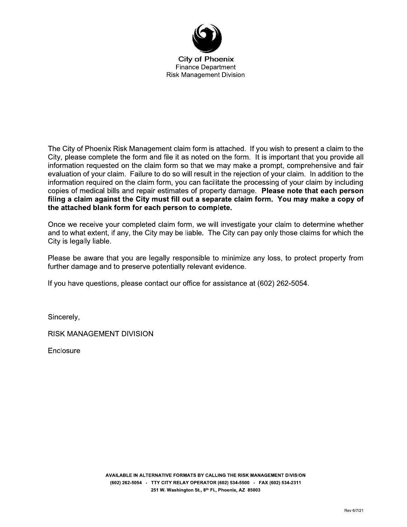

The City of Phoenix Risk Management claim form is attached. If you wish to present a claim to the City, please complete the form and file it as noted on the form. It is important that you provide all information requested on the claim form so that we may make a prompt, comprehensive and fair evaluation of your claim. Failure to do so will result in the rejection of your claim. In addition to the information required on the claim form, you can facilitate the processing of your claim by including copies of medical bills and repair estimates of property damage. Please note that each person filing a claim against the City must fill out a separate claim form. You may make a copy of the attached blank form for each person to complete.

Once we receive your completed claim form, we will investigate your claim to determine whether and to what extent, if any, the City may be liable. The City can pay only those claims for which the City is legally liable.

Please be aware that you are legally responsible to minimize any loss, to protect property from further damage and to preserve potentially relevant evidence.

If you have questions, please contact our office for assistance at (602) 262-5054.

Sincerely,

**RISK MANAGEMENT DIVISION** 

Enclosure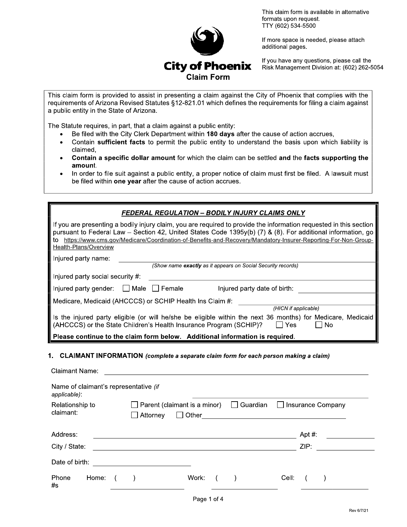



If more space is needed, please attach additional pages.

If you have any questions, please call the Risk Management Division at: (602) 262-5054

This claim form is provided to assist in presenting a claim against the City of Phoenix that complies with the requirements of Arizona Revised Statutes §12-821.01 which defines the requirements for filing a claim against a public entity in the State of Arizona.

The Statute requires, in part, that a claim against a public entity:

- Be filed with the City Clerk Department within 180 days after the cause of action accrues,
- $\bullet$ Contain sufficient facts to permit the public entity to understand the basis upon which liability is claimed,
- Contain a specific dollar amount for which the claim can be settled and the facts supporting the amount.
- In order to file suit against a public entity, a proper notice of claim must first be filed. A lawsuit must be filed within one year after the cause of action accrues.

| <b>FEDERAL REGULATION - BODILY INJURY CLAIMS ONLY</b>                                                                                                                                                                                                                                                                                                                             |  |  |  |  |  |
|-----------------------------------------------------------------------------------------------------------------------------------------------------------------------------------------------------------------------------------------------------------------------------------------------------------------------------------------------------------------------------------|--|--|--|--|--|
| If you are presenting a bodily injury claim, you are required to provide the information requested in this section<br>pursuant to Federal Law - Section 42, United States Code 1395y(b) (7) & (8). For additional information, go<br>https://www.cms.gov/Medicare/Coordination-of-Benefits-and-Recovery/Mandatory-Insurer-Reporting-For-Non-Group-<br>to<br>Health-Plans/Overview |  |  |  |  |  |
| Injured party name:                                                                                                                                                                                                                                                                                                                                                               |  |  |  |  |  |
| (Show name exactly as it appears on Social Security records)                                                                                                                                                                                                                                                                                                                      |  |  |  |  |  |
| Injured party social security $#$ :                                                                                                                                                                                                                                                                                                                                               |  |  |  |  |  |
| $\parallel$ Injured party gender: $\Box$ Male $\Box$ Female<br>Injured party date of birth:                                                                                                                                                                                                                                                                                       |  |  |  |  |  |
| Medicare, Medicaid (AHCCCS) or SCHIP Health Ins Claim #:                                                                                                                                                                                                                                                                                                                          |  |  |  |  |  |
| (HICN if applicable)                                                                                                                                                                                                                                                                                                                                                              |  |  |  |  |  |
| Is the injured party eligible (or will he/she be eligible within the next 36 months) for Medicare, Medicaid<br>  (AHCCCS) or the State Children's Health Insurance Program (SCHIP)?<br>Yes.<br>No.                                                                                                                                                                                |  |  |  |  |  |
| Please continue to the claim form below. Additional information is required.                                                                                                                                                                                                                                                                                                      |  |  |  |  |  |

#### 1. CLAIMANT INFORMATION (complete a separate claim form for each person making a claim)

| <b>Claimant Name:</b>                                 |       |          |                                              |                 |       |           |                     |  |
|-------------------------------------------------------|-------|----------|----------------------------------------------|-----------------|-------|-----------|---------------------|--|
| Name of claimant's representative (if<br>applicable): |       |          |                                              |                 |       |           |                     |  |
| Relationship to<br>claimant:                          |       | Attorney | $\Box$ Parent (claimant is a minor)<br>Other | $\Box$ Guardian |       |           | □ Insurance Company |  |
| Address:                                              |       |          |                                              |                 |       | Apt $#$ : |                     |  |
| City / State:                                         |       |          |                                              |                 |       | ZIP:      |                     |  |
| Date of birth:                                        |       |          |                                              |                 |       |           |                     |  |
| Phone<br>#s                                           | Home: |          | Work:                                        |                 | Cell: |           |                     |  |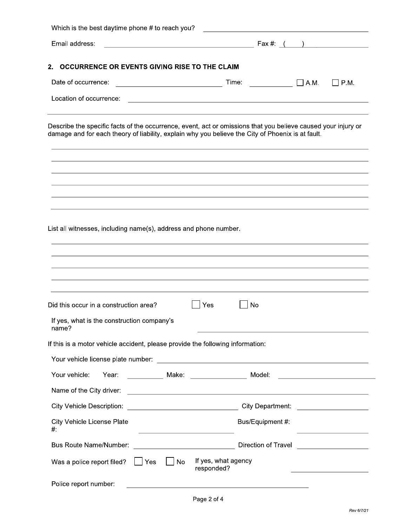| Which is the best daytime phone # to reach you?                                                                                                                                                                    |                                                                                                                                |
|--------------------------------------------------------------------------------------------------------------------------------------------------------------------------------------------------------------------|--------------------------------------------------------------------------------------------------------------------------------|
| Email address:                                                                                                                                                                                                     |                                                                                                                                |
| 2. OCCURRENCE OR EVENTS GIVING RISE TO THE CLAIM                                                                                                                                                                   |                                                                                                                                |
| Date of occurrence:<br><u> 1989 - Johann Barbara, martxa al</u>                                                                                                                                                    | Time: $\qquad \qquad \Box$ A.M.<br>$\Box$ P.M.                                                                                 |
| Location of occurrence:                                                                                                                                                                                            | and the control of the control of the control of the control of the control of the control of the control of the               |
| Describe the specific facts of the occurrence, event, act or omissions that you believe caused your injury or<br>damage and for each theory of liability, explain why you believe the City of Phoenix is at fault. |                                                                                                                                |
|                                                                                                                                                                                                                    |                                                                                                                                |
|                                                                                                                                                                                                                    |                                                                                                                                |
|                                                                                                                                                                                                                    |                                                                                                                                |
| Did this occur in a construction area?<br>Yes                                                                                                                                                                      | No                                                                                                                             |
| If yes, what is the construction company's<br>name?                                                                                                                                                                |                                                                                                                                |
| If this is a motor vehicle accident, please provide the following information:                                                                                                                                     |                                                                                                                                |
|                                                                                                                                                                                                                    |                                                                                                                                |
| Your vehicle:<br>Year:<br>_______________ Make: ______________________ Model:                                                                                                                                      |                                                                                                                                |
| Name of the City driver:                                                                                                                                                                                           | <u> 1989 - Jan Sterlinger, skriuwer fan it fan it fan it fan it fan it fan it fan it fan it fan it fan it fan it</u>           |
|                                                                                                                                                                                                                    |                                                                                                                                |
| <b>City Vehicle License Plate</b><br>#<br><u> 1989 - Johann Barbara, martxa alemaniar amerikan a</u>                                                                                                               | Bus/Equipment #:                                                                                                               |
| <b>Bus Route Name/Number:</b><br><u> 1980 - Johann Barbara, martxa amerikan p</u>                                                                                                                                  | Direction of Travel ____________________                                                                                       |
| $ $ $ $ Yes<br>Was a police report filed?<br>No                                                                                                                                                                    | If yes, what agency<br>responded?<br>the control of the control of the control of the control of the control of the control of |
| Police report number:                                                                                                                                                                                              |                                                                                                                                |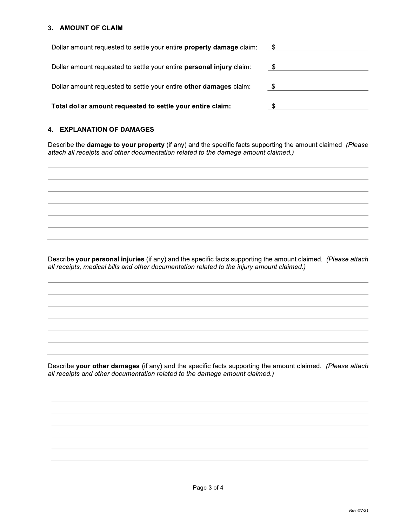#### 3. AMOUNT OF CLAIM

| Dollar amount requested to settle your entire property damage claim:                                                                                                                                                                  | $\mathcal{S}$ |
|---------------------------------------------------------------------------------------------------------------------------------------------------------------------------------------------------------------------------------------|---------------|
| Dollar amount requested to settle your entire personal injury claim:                                                                                                                                                                  | $\mathbb{S}$  |
| Dollar amount requested to settle your entire other damages claim:                                                                                                                                                                    | \$            |
| Total dollar amount requested to settle your entire claim:                                                                                                                                                                            | \$            |
| 4. EXPLANATION OF DAMAGES<br>Describe the <b>damage to your property</b> (if any) and the specific facts supporting the amount claimed. (Please<br>attach all receipts and other documentation related to the damage amount claimed.) |               |

## 4. EXPLANATION OF DAMAGES

 $\overline{a}$ 

Describe your personal injuries (if any) and the specific facts supporting the amount claimed. (Please attach<br>all receipts, medical bills and other documentation related to the injury amount claimed.)

Describe your other damages (if any) and the specific facts supporting the amount claimed. (Please attach all receipts and other documentation related to the damage amount claimed.)